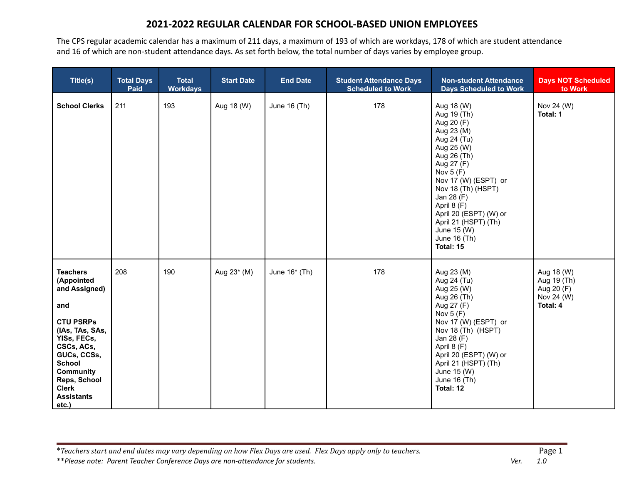The CPS regular academic calendar has a maximum of 211 days, a maximum of 193 of which are workdays, 178 of which are student attendance and 16 of which are non-student attendance days. As set forth below, the total number of days varies by employee group.

| Title(s)                                                                                                                                                                                                                                    | <b>Total Days</b><br>Paid | <b>Total</b><br><b>Workdays</b> | <b>Start Date</b> | <b>End Date</b> | <b>Student Attendance Days</b><br><b>Scheduled to Work</b> | <b>Non-student Attendance</b><br><b>Days Scheduled to Work</b>                                                                                                                                                                                                                                         | <b>Days NOT Scheduled</b><br>to Work                              |
|---------------------------------------------------------------------------------------------------------------------------------------------------------------------------------------------------------------------------------------------|---------------------------|---------------------------------|-------------------|-----------------|------------------------------------------------------------|--------------------------------------------------------------------------------------------------------------------------------------------------------------------------------------------------------------------------------------------------------------------------------------------------------|-------------------------------------------------------------------|
| <b>School Clerks</b>                                                                                                                                                                                                                        | 211                       | 193                             | Aug 18 (W)        | June 16 (Th)    | 178                                                        | Aug 18 (W)<br>Aug 19 (Th)<br>Aug 20 (F)<br>Aug 23 (M)<br>Aug 24 (Tu)<br>Aug 25 (W)<br>Aug 26 (Th)<br>Aug 27 (F)<br>Nov $5(F)$<br>Nov 17 (W) (ESPT) or<br>Nov 18 (Th) (HSPT)<br>Jan 28 (F)<br>April 8 (F)<br>April 20 (ESPT) (W) or<br>April 21 (HSPT) (Th)<br>June 15 (W)<br>June 16 (Th)<br>Total: 15 | Nov 24 (W)<br>Total: 1                                            |
| <b>Teachers</b><br>(Appointed<br>and Assigned)<br>and<br><b>CTU PSRPs</b><br>(IAs, TAs, SAs,<br>YISs, FECs,<br>CSCs, ACs,<br>GUCs, CCSs,<br><b>School</b><br><b>Community</b><br>Reps, School<br><b>Clerk</b><br><b>Assistants</b><br>etc.) | 208                       | 190                             | Aug 23* (M)       | June $16*$ (Th) | 178                                                        | Aug 23 (M)<br>Aug 24 (Tu)<br>Aug 25 (W)<br>Aug 26 (Th)<br>Aug 27 (F)<br>Nov $5(F)$<br>Nov 17 (W) (ESPT) or<br>Nov 18 (Th) (HSPT)<br>Jan 28 (F)<br>April 8 (F)<br>April 20 (ESPT) (W) or<br>April 21 (HSPT) (Th)<br>June 15 (W)<br>June 16 (Th)<br>Total: 12                                            | Aug 18 (W)<br>Aug 19 (Th)<br>Aug 20 (F)<br>Nov 24 (W)<br>Total: 4 |

\*Teachers start and end dates may vary depending on how Flex Days are used. Flex Days apply only to teachers.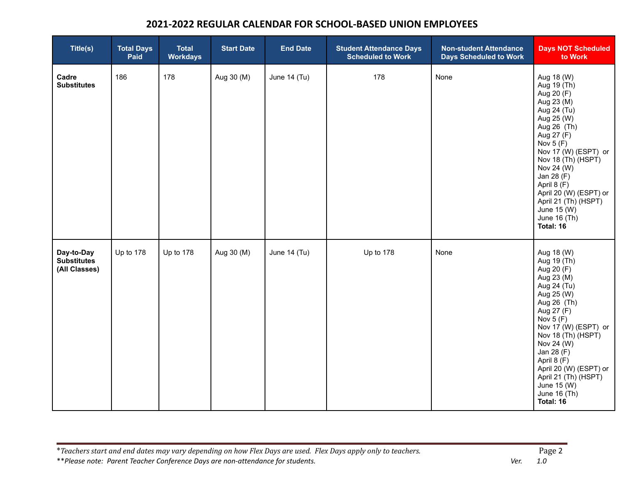| Title(s)                                          | <b>Total Days</b><br>Paid | <b>Total</b><br><b>Workdays</b> | <b>Start Date</b> | <b>End Date</b> | <b>Student Attendance Days</b><br><b>Scheduled to Work</b> | <b>Non-student Attendance</b><br><b>Days Scheduled to Work</b> | <b>Days NOT Scheduled</b><br>to Work                                                                                                                                                                                                                                                                                 |
|---------------------------------------------------|---------------------------|---------------------------------|-------------------|-----------------|------------------------------------------------------------|----------------------------------------------------------------|----------------------------------------------------------------------------------------------------------------------------------------------------------------------------------------------------------------------------------------------------------------------------------------------------------------------|
| Cadre<br><b>Substitutes</b>                       | 186                       | 178                             | Aug 30 (M)        | June 14 (Tu)    | 178                                                        | None                                                           | Aug 18 (W)<br>Aug 19 (Th)<br>Aug 20 (F)<br>Aug 23 (M)<br>Aug 24 (Tu)<br>Aug 25 (W)<br>Aug 26 (Th)<br>Aug 27 (F)<br>Nov $5(F)$<br>Nov 17 (W) (ESPT) or<br>Nov 18 (Th) (HSPT)<br>Nov 24 (W)<br>Jan 28 (F)<br>April 8 (F)<br>April 20 (W) (ESPT) or<br>April 21 (Th) (HSPT)<br>June 15 (W)<br>June 16 (Th)<br>Total: 16 |
| Day-to-Day<br><b>Substitutes</b><br>(All Classes) | Up to 178                 | Up to 178                       | Aug 30 (M)        | June 14 (Tu)    | Up to 178                                                  | None                                                           | Aug 18 (W)<br>Aug 19 (Th)<br>Aug 20 (F)<br>Aug 23 (M)<br>Aug 24 (Tu)<br>Aug 25 (W)<br>Aug 26 (Th)<br>Aug 27 (F)<br>Nov $5(F)$<br>Nov 17 (W) (ESPT) or<br>Nov 18 (Th) (HSPT)<br>Nov 24 (W)<br>Jan 28 (F)<br>April 8 (F)<br>April 20 (W) (ESPT) or<br>April 21 (Th) (HSPT)<br>June 15 (W)<br>June 16 (Th)<br>Total: 16 |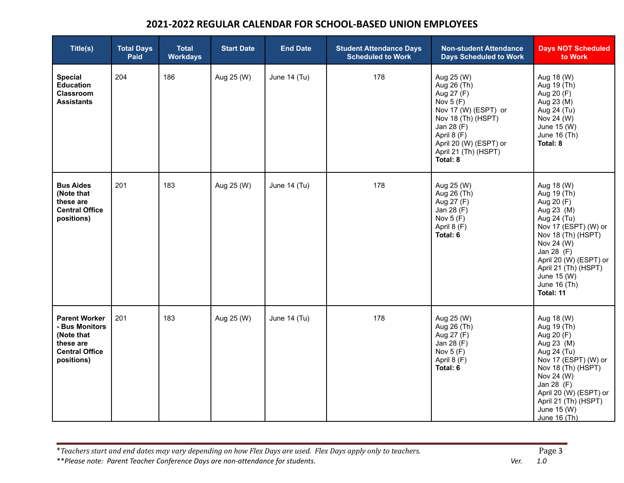| Title(s)                                                                                                 | <b>Total Days</b><br>Paid | <b>Total</b><br><b>Workdays</b> | <b>Start Date</b> | <b>End Date</b> | <b>Student Attendance Days</b><br><b>Scheduled to Work</b> | <b>Non-student Attendance</b><br><b>Days Scheduled to Work</b>                                                                                                                                 | <b>Days NOT Scheduled</b><br>to Work                                                                                                                                                                                                         |
|----------------------------------------------------------------------------------------------------------|---------------------------|---------------------------------|-------------------|-----------------|------------------------------------------------------------|------------------------------------------------------------------------------------------------------------------------------------------------------------------------------------------------|----------------------------------------------------------------------------------------------------------------------------------------------------------------------------------------------------------------------------------------------|
| <b>Special</b><br><b>Education</b><br><b>Classroom</b><br><b>Assistants</b>                              | 204                       | 186                             | Aug 25 (W)        | June 14 (Tu)    | 178                                                        | Aug 25 (W)<br>Aug 26 (Th)<br>Aug 27 (F)<br>Nov $5(F)$<br>Nov 17 (W) (ESPT) or<br>Nov 18 (Th) (HSPT)<br>Jan 28 (F)<br>April 8 (F)<br>April 20 (W) (ESPT) or<br>April 21 (Th) (HSPT)<br>Total: 8 | Aug 18 (W)<br>Aug 19 (Th)<br>Aug 20 (F)<br>Aug 23 (M)<br>Aug 24 (Tu)<br>Nov 24 (W)<br>June 15 (W)<br>June 16 (Th)<br>Total: 8                                                                                                                |
| <b>Bus Aides</b><br>(Note that<br>these are<br><b>Central Office</b><br>positions)                       | 201                       | 183                             | Aug 25 (W)        | June 14 (Tu)    | 178                                                        | Aug 25 (W)<br>Aug 26 (Th)<br>Aug 27 (F)<br>Jan 28 (F)<br>Nov $5(F)$<br>April 8 (F)<br>Total: 6                                                                                                 | Aug 18 (W)<br>Aug 19 (Th)<br>Aug 20 (F)<br>Aug 23 (M)<br>Aug 24 (Tu)<br>Nov 17 (ESPT) (W) or<br>Nov 18 (Th) (HSPT)<br>Nov 24 (W)<br>Jan 28 (F)<br>April 20 (W) (ESPT) or<br>April 21 (Th) (HSPT)<br>June 15 (W)<br>June 16 (Th)<br>Total: 11 |
| <b>Parent Worker</b><br>- Bus Monitors<br>(Note that<br>these are<br><b>Central Office</b><br>positions) | 201                       | 183                             | Aug 25 (W)        | June 14 (Tu)    | 178                                                        | Aug 25 (W)<br>Aug 26 (Th)<br>Aug 27 (F)<br>Jan 28 (F)<br>Nov $5(F)$<br>April 8 (F)<br>Total: 6                                                                                                 | Aug 18 (W)<br>Aug 19 (Th)<br>Aug 20 (F)<br>Aug 23 (M)<br>Aug 24 (Tu)<br>Nov 17 (ESPT) (W) or<br>Nov 18 (Th) (HSPT)<br>Nov 24 (W)<br>Jan 28 (F)<br>April 20 (W) (ESPT) or<br>April 21 (Th) (HSPT)<br>June 15 (W)<br>June 16 (Th)              |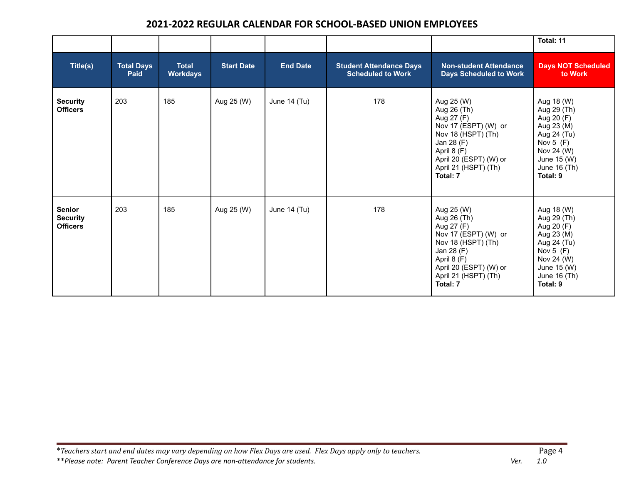|                                                     |                           |                                 |                   |                 |                                                            |                                                                                                                                                                                  | Total: 11                                                                                                                                    |
|-----------------------------------------------------|---------------------------|---------------------------------|-------------------|-----------------|------------------------------------------------------------|----------------------------------------------------------------------------------------------------------------------------------------------------------------------------------|----------------------------------------------------------------------------------------------------------------------------------------------|
| Title(s)                                            | <b>Total Days</b><br>Paid | <b>Total</b><br><b>Workdays</b> | <b>Start Date</b> | <b>End Date</b> | <b>Student Attendance Days</b><br><b>Scheduled to Work</b> | <b>Non-student Attendance</b><br><b>Days Scheduled to Work</b>                                                                                                                   | <b>Days NOT Scheduled</b><br>to Work                                                                                                         |
| <b>Security</b><br><b>Officers</b>                  | 203                       | 185                             | Aug 25 (W)        | June 14 (Tu)    | 178                                                        | Aug 25 (W)<br>Aug 26 (Th)<br>Aug 27 (F)<br>Nov 17 (ESPT) (W) or<br>Nov 18 (HSPT) (Th)<br>Jan 28 (F)<br>April 8 (F)<br>April 20 (ESPT) (W) or<br>April 21 (HSPT) (Th)<br>Total: 7 | Aug 18 (W)<br>Aug 29 (Th)<br>Aug 20 (F)<br>Aug 23 (M)<br>Aug 24 (Tu)<br>Nov $5(F)$<br>Nov 24 (W)<br>June 15 (W)<br>June 16 (Th)<br>Total: 9  |
| <b>Senior</b><br><b>Security</b><br><b>Officers</b> | 203                       | 185                             | Aug 25 (W)        | June 14 (Tu)    | 178                                                        | Aug 25 (W)<br>Aug 26 (Th)<br>Aug 27 (F)<br>Nov 17 (ESPT) (W) or<br>Nov 18 (HSPT) (Th)<br>Jan 28 (F)<br>April 8 (F)<br>April 20 (ESPT) (W) or<br>April 21 (HSPT) (Th)<br>Total: 7 | Aug 18 (W)<br>Aug 29 (Th)<br>Aug 20 (F)<br>Aug 23 (M)<br>Aug 24 (Tu)<br>Nov $5$ (F)<br>Nov 24 (W)<br>June 15 (W)<br>June 16 (Th)<br>Total: 9 |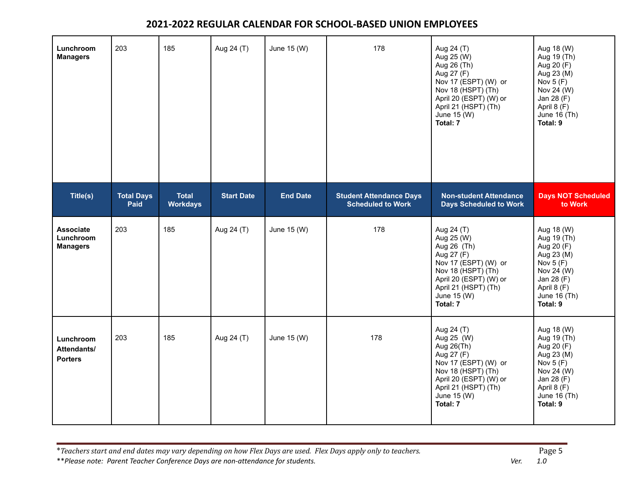| Lunchroom<br><b>Managers</b>                     | 203                              | 185                             | Aug 24 (T)        | June 15 (W)     | 178                                                        | Aug 24 (T)<br>Aug 25 (W)<br>Aug 26 (Th)<br>Aug 27 (F)<br>Nov 17 (ESPT) (W) or<br>Nov 18 (HSPT) (Th)<br>April 20 (ESPT) (W) or<br>April 21 (HSPT) (Th)<br>June 15 (W)<br>Total: 7 | Aug 18 (W)<br>Aug 19 (Th)<br>Aug 20 (F)<br>Aug 23 (M)<br>Nov $5(F)$<br>Nov 24 (W)<br>Jan 28 (F)<br>April 8 (F)<br>June 16 (Th)<br>Total: 9 |
|--------------------------------------------------|----------------------------------|---------------------------------|-------------------|-----------------|------------------------------------------------------------|----------------------------------------------------------------------------------------------------------------------------------------------------------------------------------|--------------------------------------------------------------------------------------------------------------------------------------------|
| Title(s)                                         | <b>Total Days</b><br><b>Paid</b> | <b>Total</b><br><b>Workdays</b> | <b>Start Date</b> | <b>End Date</b> | <b>Student Attendance Days</b><br><b>Scheduled to Work</b> | <b>Non-student Attendance</b><br><b>Days Scheduled to Work</b>                                                                                                                   | <b>Days NOT Scheduled</b><br>to Work                                                                                                       |
| <b>Associate</b><br>Lunchroom<br><b>Managers</b> | 203                              | 185                             | Aug 24 (T)        | June 15 (W)     | 178                                                        | Aug 24 (T)<br>Aug 25 (W)<br>Aug 26 (Th)<br>Aug 27 (F)<br>Nov 17 (ESPT) (W) or<br>Nov 18 (HSPT) (Th)<br>April 20 (ESPT) (W) or<br>April 21 (HSPT) (Th)<br>June 15 (W)<br>Total: 7 | Aug 18 (W)<br>Aug 19 (Th)<br>Aug 20 (F)<br>Aug 23 (M)<br>Nov $5(F)$<br>Nov 24 (W)<br>Jan 28 (F)<br>April 8 (F)<br>June 16 (Th)<br>Total: 9 |
| Lunchroom<br>Attendants/<br><b>Porters</b>       | 203                              | 185                             | Aug 24 (T)        | June 15 (W)     | 178                                                        | Aug 24 (T)<br>Aug 25 (W)<br>Aug 26(Th)<br>Aug 27 (F)<br>Nov 17 (ESPT) (W) or<br>Nov 18 (HSPT) (Th)<br>April 20 (ESPT) (W) or<br>April 21 (HSPT) (Th)<br>June 15 (W)<br>Total: 7  | Aug 18 (W)<br>Aug 19 (Th)<br>Aug 20 (F)<br>Aug 23 (M)<br>Nov $5(F)$<br>Nov 24 (W)<br>Jan 28 (F)<br>April 8 (F)<br>June 16 (Th)<br>Total: 9 |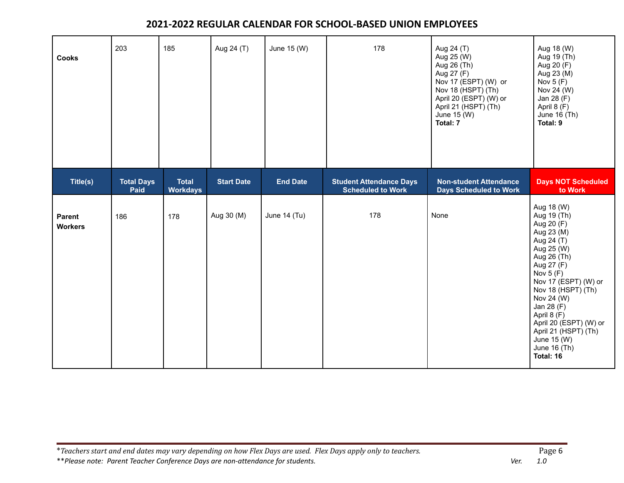| <b>Cooks</b>             | 203                       | 185                             | Aug 24 (T)        | June 15 (W)     | 178                                                        | Aug 24 (T)<br>Aug 25 (W)<br>Aug 26 (Th)<br>Aug 27 (F)<br>Nov 17 (ESPT) (W) or<br>Nov 18 (HSPT) (Th)<br>April 20 (ESPT) (W) or<br>April 21 (HSPT) (Th)<br>June 15 (W)<br>Total: 7 | Aug 18 (W)<br>Aug 19 (Th)<br>Aug 20 (F)<br>Aug 23 (M)<br>Nov $5(F)$<br>Nov 24 (W)<br>Jan 28 (F)<br>April 8 (F)<br>June 16 (Th)<br>Total: 9                                                                                                                                                                          |
|--------------------------|---------------------------|---------------------------------|-------------------|-----------------|------------------------------------------------------------|----------------------------------------------------------------------------------------------------------------------------------------------------------------------------------|---------------------------------------------------------------------------------------------------------------------------------------------------------------------------------------------------------------------------------------------------------------------------------------------------------------------|
| Title(s)                 | <b>Total Days</b><br>Paid | <b>Total</b><br><b>Workdays</b> | <b>Start Date</b> | <b>End Date</b> | <b>Student Attendance Days</b><br><b>Scheduled to Work</b> | <b>Non-student Attendance</b><br><b>Days Scheduled to Work</b>                                                                                                                   | <b>Days NOT Scheduled</b><br>to Work                                                                                                                                                                                                                                                                                |
| Parent<br><b>Workers</b> | 186                       | 178                             | Aug 30 (M)        | June 14 (Tu)    | 178                                                        | None                                                                                                                                                                             | Aug 18 (W)<br>Aug 19 (Th)<br>Aug 20 (F)<br>Aug 23 (M)<br>Aug 24 (T)<br>Aug 25 (W)<br>Aug 26 (Th)<br>Aug 27 (F)<br>Nov $5(F)$<br>Nov 17 (ESPT) (W) or<br>Nov 18 (HSPT) (Th)<br>Nov 24 (W)<br>Jan 28 (F)<br>April 8 (F)<br>April 20 (ESPT) (W) or<br>April 21 (HSPT) (Th)<br>June 15 (W)<br>June 16 (Th)<br>Total: 16 |